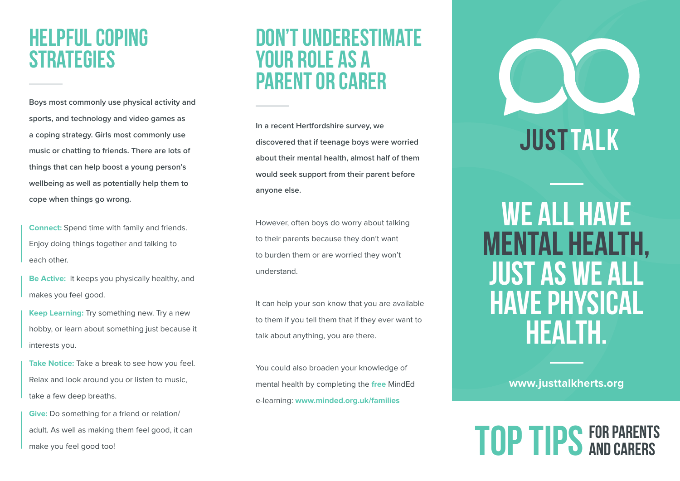### Helpful coping **STRATEGIES**

**Boys most commonly use physical activity and sports, and technology and video games as a coping strategy. Girls most commonly use music or chatting to friends. There are lots of things that can help boost a young person's wellbeing as well as potentially help them to cope when things go wrong.** 

**Connect:** Spend time with family and friends. Enjoy doing things together and talking to each other.

**Be Active:** It keeps you physically healthy, and makes you feel good.

**Keep Learning:** Try something new. Try a new hobby, or learn about something just because it interests you.

**Take Notice:** Take a break to see how you feel. Relax and look around you or listen to music, take a few deep breaths.

**Give:** Do something for a friend or relation/ adult. As well as making them feel good, it can make you feel good too!

#### Don't underestimate your role as a parent or carer

**In a recent Hertfordshire survey, we discovered that if teenage boys were worried about their mental health, almost half of them would seek support from their parent before anyone else.** 

However, often boys do worry about talking to their parents because they don't want to burden them or are worried they won't understand.

It can help your son know that you are available to them if you tell them that if they ever want to talk about anything, you are there.

You could also broaden your knowledge of mental health by completing the **free** MindEd e-learning: **www.minded.org.uk/families**



WE ALL HAVE mental health, just as we all have physical health.

**www.justtalkherts.org** 

# TOP TIPS FOR PARENTS